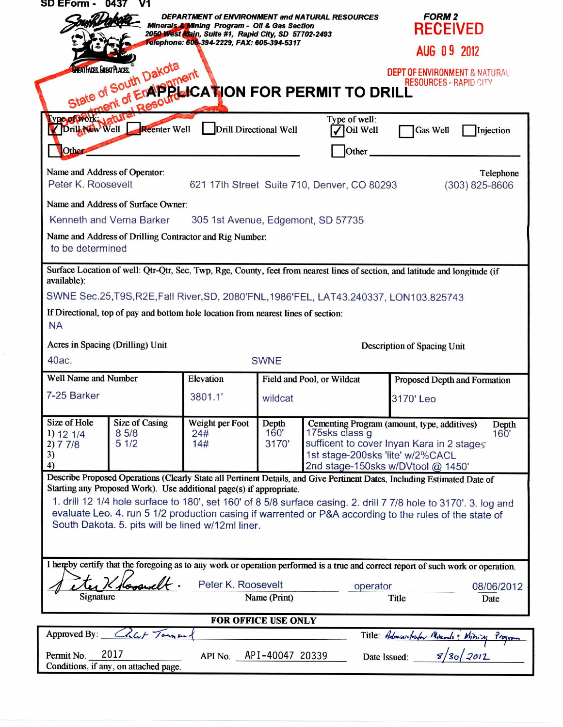| <b>SD EForm - 0437</b>                                              |                                                                                                                          |                                                                                                                                                                   |                                                |                                                                                        |                                                                                                                                                                                                                             |
|---------------------------------------------------------------------|--------------------------------------------------------------------------------------------------------------------------|-------------------------------------------------------------------------------------------------------------------------------------------------------------------|------------------------------------------------|----------------------------------------------------------------------------------------|-----------------------------------------------------------------------------------------------------------------------------------------------------------------------------------------------------------------------------|
|                                                                     |                                                                                                                          | <b>Minerals &amp; Mining Program - Oil &amp; Gas Section</b><br>2050 West Main, Suite #1, Rapid City, SD 57702-2493<br>Felephone: 605-394-2229, FAX: 605-394-5317 |                                                | DEPARTMENT of ENVIRONMENT and NATURAL RESOURCES                                        | <b>FORM 2</b><br><b>RECEIVED</b>                                                                                                                                                                                            |
|                                                                     |                                                                                                                          |                                                                                                                                                                   |                                                |                                                                                        | AUG 09 2012                                                                                                                                                                                                                 |
|                                                                     | State of South Dakota                                                                                                    |                                                                                                                                                                   |                                                | South Dam Prinent<br>ent of EngipeerCATION FOR PERMIT TO DRILL                         | <b>DEPT OF ENVIRONMENT &amp; NATURAL</b><br><b>RESOURCES - RAPID CITY</b>                                                                                                                                                   |
| ype of Ovork.<br>Drill New Well                                     | <b>Reenter Well</b>                                                                                                      | Drill Directional Well                                                                                                                                            |                                                | Type of well:<br>Oil Well                                                              | <b>Gas Well</b><br>Injection                                                                                                                                                                                                |
| <b>Other</b><br>Name and Address of Operator:<br>Peter K. Roosevelt |                                                                                                                          |                                                                                                                                                                   |                                                | Other<br>621 17th Street Suite 710, Denver, CO 80293                                   | Telephone<br>$(303)$ 825-8606                                                                                                                                                                                               |
|                                                                     | Name and Address of Surface Owner:                                                                                       |                                                                                                                                                                   |                                                |                                                                                        |                                                                                                                                                                                                                             |
|                                                                     | Kenneth and Verna Barker                                                                                                 | 305 1st Avenue, Edgemont, SD 57735                                                                                                                                |                                                |                                                                                        |                                                                                                                                                                                                                             |
|                                                                     | Name and Address of Drilling Contractor and Rig Number.                                                                  |                                                                                                                                                                   |                                                |                                                                                        |                                                                                                                                                                                                                             |
| to be determined                                                    |                                                                                                                          |                                                                                                                                                                   |                                                |                                                                                        |                                                                                                                                                                                                                             |
| available):                                                         |                                                                                                                          |                                                                                                                                                                   |                                                | SWNE Sec.25, T9S, R2E, Fall River, SD, 2080'FNL, 1986'FEL, LAT43.240337, LON103.825743 | Surface Location of well: Qtr-Qtr, Sec, Twp, Rge, County, feet from nearest lines of section, and latitude and longitude (if                                                                                                |
| <b>NA</b>                                                           | If Directional, top of pay and bottom hole location from nearest lines of section:                                       |                                                                                                                                                                   |                                                |                                                                                        |                                                                                                                                                                                                                             |
|                                                                     | Acres in Spacing (Drilling) Unit                                                                                         |                                                                                                                                                                   | Description of Spacing Unit                    |                                                                                        |                                                                                                                                                                                                                             |
| 40ac.                                                               |                                                                                                                          |                                                                                                                                                                   | <b>SWNE</b>                                    |                                                                                        |                                                                                                                                                                                                                             |
| <b>Well Name and Number</b>                                         |                                                                                                                          | Elevation                                                                                                                                                         |                                                | Field and Pool, or Wildcat<br>Proposed Depth and Formation                             |                                                                                                                                                                                                                             |
| 7-25 Barker                                                         |                                                                                                                          | 3801.1'                                                                                                                                                           | wildcat                                        |                                                                                        | 3170'Leo                                                                                                                                                                                                                    |
| Size of Hole<br>1) 12 1/4<br>2) 7 7/8<br>3)<br>4)                   | <b>Size of Casing</b><br>85/8<br>51/2                                                                                    | Weight per Foot<br>24#<br>14#                                                                                                                                     | Depth<br>160'<br>3170'                         | 175sks class q<br>1st stage-200sks 'lite' w/2%CACL                                     | Cementing Program (amount, type, additives)<br>Depth<br>160'<br>sufficent to cover Inyan Kara in 2 stages<br>2nd stage-150sks w/DVtool @ 1450'                                                                              |
|                                                                     |                                                                                                                          |                                                                                                                                                                   |                                                |                                                                                        | Describe Proposed Operations (Clearly State all Pertinent Details, and Give Pertinent Dates, Including Estimated Date of                                                                                                    |
|                                                                     | Starting any Proposed Work). Use additional page(s) if appropriate.<br>South Dakota. 5. pits will be lined w/12ml liner. |                                                                                                                                                                   |                                                |                                                                                        | 1. drill 12 1/4 hole surface to 180', set 160' of 8 5/8 surface casing. 2. drill 7 7/8 hole to 3170'. 3. log and<br>evaluate Leo. 4. run 5 1/2 production casing if warrented or P&A according to the rules of the state of |
|                                                                     |                                                                                                                          |                                                                                                                                                                   |                                                |                                                                                        |                                                                                                                                                                                                                             |
|                                                                     |                                                                                                                          |                                                                                                                                                                   |                                                |                                                                                        | I hereby certify that the foregoing as to any work or operation performed is a true and correct report of such work or operation.                                                                                           |
| Signature                                                           | looswel                                                                                                                  |                                                                                                                                                                   | Peter K. Roosevelt<br>operator<br>Name (Print) |                                                                                        | 08/06/2012<br>Title<br>Date                                                                                                                                                                                                 |
| <b>FOR OFFICE USE ONLY</b>                                          |                                                                                                                          |                                                                                                                                                                   |                                                |                                                                                        |                                                                                                                                                                                                                             |
|                                                                     |                                                                                                                          |                                                                                                                                                                   |                                                |                                                                                        |                                                                                                                                                                                                                             |
| Approved By:                                                        | Chlif Tours                                                                                                              |                                                                                                                                                                   |                                                |                                                                                        | Title: Administrator Minerals: Mining Program                                                                                                                                                                               |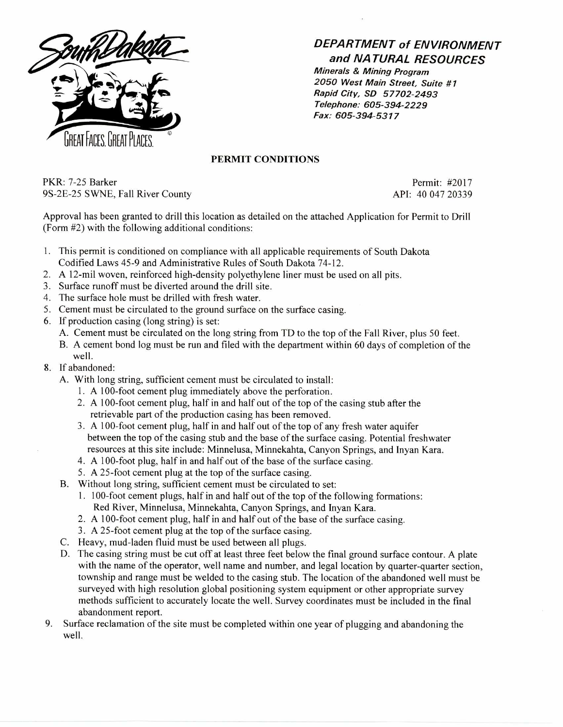

## **DEPARTMENT of ENVIRONMENT and NATURAL RESOURCES**

Minerals & Mining Program 2050 West Main Street, Suite #7 Rapid City, SD 57702-2493 Telephone: 605-394-2229 Fax: 605-394-5317

## **PERMIT CONDITIONS**

PKR: 7-25 Barker Permit: #2017 9S-2E-25 SWNE, Fall River County API: 40 047 20339

Approval has been granted to drill this location as detailed on the attached Application for Permit to Drill (Form #2) with the following additional conditions:

- 1. This permit is conditioned on compliance with all applicable requirements of South Dakota Codified Laws 45-9 and Administrative Rules of South Dakota 74-12.
- 2. A 12-mil woven, reinforced high-density polyethylene liner must be used on all pits.
- 3. Surface runoff must be diverted around the drill site.
- 4. The surface hole must be drilled with fresh water.
- 5. Cement must be circulated to the ground surface on the surface casing.
- 6. If production casing (long string) is set:
	- A. Cement must be circulated on the long string from TD to the top of the Fall River, plus 50 feet.
	- B. A cement bond log must be run and filed with the department within 60 days of completion of the well.
- 8. If abandoned:
	- A. With long string, sufficient cement must be circulated to install:
		- 1. A 100-foot cement plug immediately above the perforation.
		- 2. A 100-foot cement plug, half in and half out of the top of the casing stub after the retrievable part of the production casing has been removed.
		- 3. A 100-foot cement plug, half in and half out of the top of any fresh water aquifer between the top of the casing stub and the base of the surface casing. Potential freshwater resources at this site include: Minnelusa, Minnekahta, Canyon Springs, and Inyan Kara.
		- 4. A 100-foot plug, half in and half out of the base of the surface casing.
		- 5. A 25-foot cement plug at the top of the surface casing.
	- B. Without long string, sufficient cement must be circulated to set:
		- 1. 100-foot cement plugs, half in and half out of the top of the following formations: Red River, Minnelusa, Minnekahta, Canyon Springs, and Inyan Kara.
		- 2. A 100-foot cement plug, half in and half out of the base of the surface casing.
		- 3. A 25-foot cement plug at the top of the surface casing.
	- C. Heavy, mud-laden fluid must be used between all plugs.
	- D. The casing string must be cut off at least three feet below the final ground surface contour. A plate with the name of the operator, well name and number, and legal location by quarter-quarter section, township and range must be welded to the casing stub. The location of the abandoned well must be surveyed with high resolution global positioning system equipment or other appropriate survey methods sufficient to accurately locate the well. Survey coordinates must be included in the final abandonment report.
- 9. Surface reclamation of the site must be completed within one year of plugging and abandoning the well.